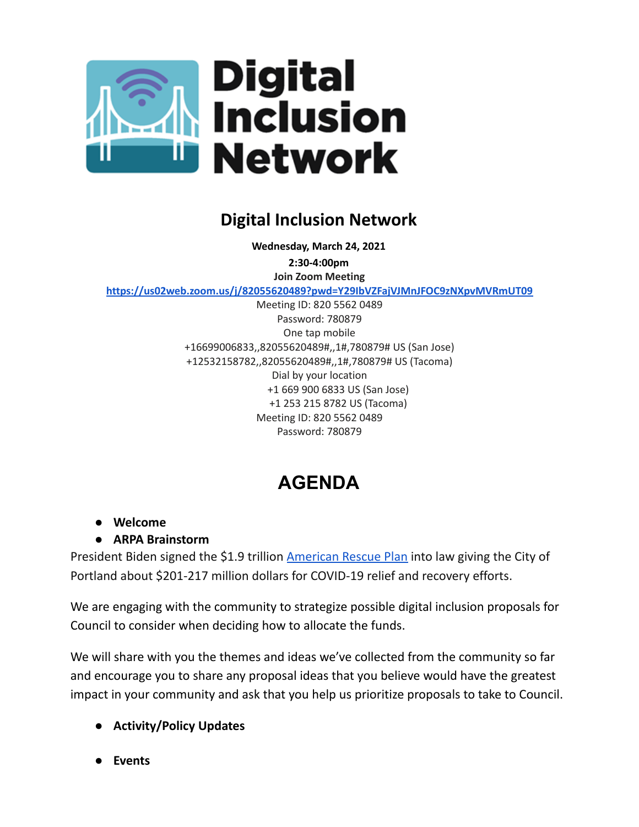

## **Digital Inclusion Network**

**Wednesday, March 24, 2021**

**2:30-4:00pm Join Zoom Meeting**

**<https://us02web.zoom.us/j/82055620489?pwd=Y29IbVZFajVJMnJFOC9zNXpvMVRmUT09>**

Meeting ID: 820 5562 0489 Password: 780879 One tap mobile +16699006833,,82055620489#,,1#,780879# US (San Jose) +12532158782,,82055620489#,,1#,780879# US (Tacoma) Dial by your location +1 669 900 6833 US (San Jose) +1 253 215 8782 US (Tacoma) Meeting ID: 820 5562 0489 Password: 780879

## **AGENDA**

- **● Welcome**
- **● ARPA Brainstorm**

President Biden signed the \$1.9 trillion [American](https://portlandoregon.us11.list-manage.com/track/click?u=d1d3da051b08df2e3de290dfe&id=2aa40a7b06&e=580b678c6f) Rescue Plan into law giving the City of Portland about \$201-217 million dollars for COVID-19 relief and recovery efforts.

We are engaging with the community to strategize possible digital inclusion proposals for Council to consider when deciding how to allocate the funds.

We will share with you the themes and ideas we've collected from the community so far and encourage you to share any proposal ideas that you believe would have the greatest impact in your community and ask that you help us prioritize proposals to take to Council.

- **● Activity/Policy Updates**
- **● Events**